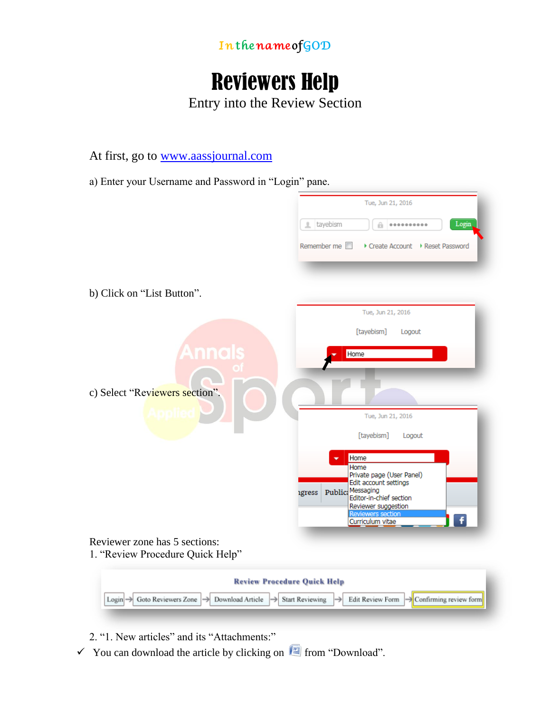

## Reviewers Help

Entry into the Review Section

At first, go to [www.aassjournal.com](http://www.aassjournal.com/)

a) Enter your Username and Password in "Login" pane.

|                                                                        | Tue, Jun 21, 2016                                                                              |
|------------------------------------------------------------------------|------------------------------------------------------------------------------------------------|
|                                                                        | tayebism<br>Login,<br>                                                                         |
|                                                                        | Remember me<br>Create Account > Reset Password                                                 |
|                                                                        |                                                                                                |
| b) Click on "List Button".                                             |                                                                                                |
|                                                                        | Tue, Jun 21, 2016                                                                              |
|                                                                        | [tayebism]<br>Logout                                                                           |
| <b>Annals</b>                                                          | Home                                                                                           |
|                                                                        |                                                                                                |
| c) Select "Reviewers section".                                         |                                                                                                |
|                                                                        | Tue, Jun 21, 2016                                                                              |
|                                                                        | [tayebism]<br>Logout                                                                           |
|                                                                        | Home                                                                                           |
|                                                                        | Home<br>Private page (User Panel)                                                              |
|                                                                        | Edit account settings<br>Public: Messaging<br>igress<br>Editor-in-chief section                |
|                                                                        | Reviewer suggestion<br><b>Reviewers section</b>                                                |
|                                                                        | Curriculum vitae                                                                               |
| Reviewer zone has 5 sections:<br>1. "Review Procedure Quick Help"      |                                                                                                |
|                                                                        | <b>Review Procedure Quick Help</b>                                                             |
| Login $\rightarrow$ Goto Reviewers Zone $\rightarrow$ Download Article | Edit Review Form<br>$\rightarrow$ Confirming review form<br>$\Rightarrow$ Start Reviewing<br>→ |
|                                                                        |                                                                                                |

2. "1. New articles" and its "Attachments:"

 $\checkmark$  You can download the article by clicking on  $f^{\text{max}}$  from "Download".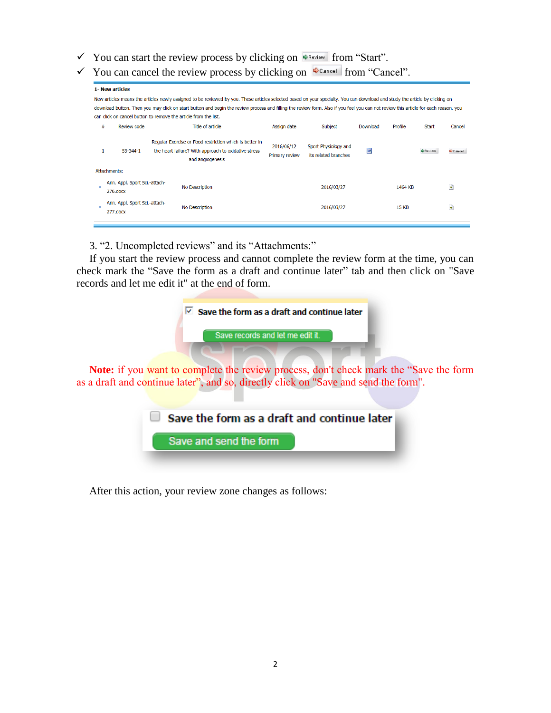- $\checkmark$  You can start the review process by clicking on  $\Phi_{\text{Review}}$  from "Start".
- $\checkmark$  You can cancel the review process by clicking on  $\checkmark$  cancel from "Cancel".

| <b>1- New articles</b> |
|------------------------|
|------------------------|

New articles means the articles newly assigned to be reviewed by you. These articles selected based on your specialty. You can download and study the article by clicking on download button. Then you may click on start button and begin the review process and filling the review form. Also if you feel you can not review this article for each reason, you can click on cancel button to remove the article from the list.

| # | Review code                                  | Title of article                                                                                                                    | Assign date                  | Subject                                      | Download | Profile      | <b>Start</b> | Cancel    |
|---|----------------------------------------------|-------------------------------------------------------------------------------------------------------------------------------------|------------------------------|----------------------------------------------|----------|--------------|--------------|-----------|
|   | 53-344-1                                     | Regular Exercise or Food restriction which is better in<br>the heart failure? With approach to oxidative stress<br>and angiogenesis | 2016/06/12<br>Primary review | Sport Physiology and<br>its related branches | W        |              | Review       | Cancel    |
|   | Attachments:                                 |                                                                                                                                     |                              |                                              |          |              |              |           |
| л | Ann. Appl. Sport Sci.-attach-<br>$276$ .docx | <b>No Description</b>                                                                                                               |                              | 2016/03/27                                   |          | 1464 KB      |              | जो        |
|   | Ann. Appl. Sport Sci.-attach-<br>$277$ .docx | No Description                                                                                                                      |                              | 2016/03/27                                   |          | <b>15 KB</b> |              | $\vec{r}$ |
|   |                                              |                                                                                                                                     |                              |                                              |          |              |              |           |

3. "2. Uncompleted reviews" and its "Attachments:"

If you start the review process and cannot complete the review form at the time, you can check mark the "Save the form as a draft and continue later" tab and then click on "Save records and let me edit it" at the end of form.

|                                  | $\triangledown$ Save the form as a draft and continue later |  |
|----------------------------------|-------------------------------------------------------------|--|
| Save records and let me edit it. |                                                             |  |
|                                  |                                                             |  |

**Note:** if you want to complete the review process, don't check mark the "Save the form as a draft and continue later", and so, directly click on "Save and send the form".



After this action, your review zone changes as follows: